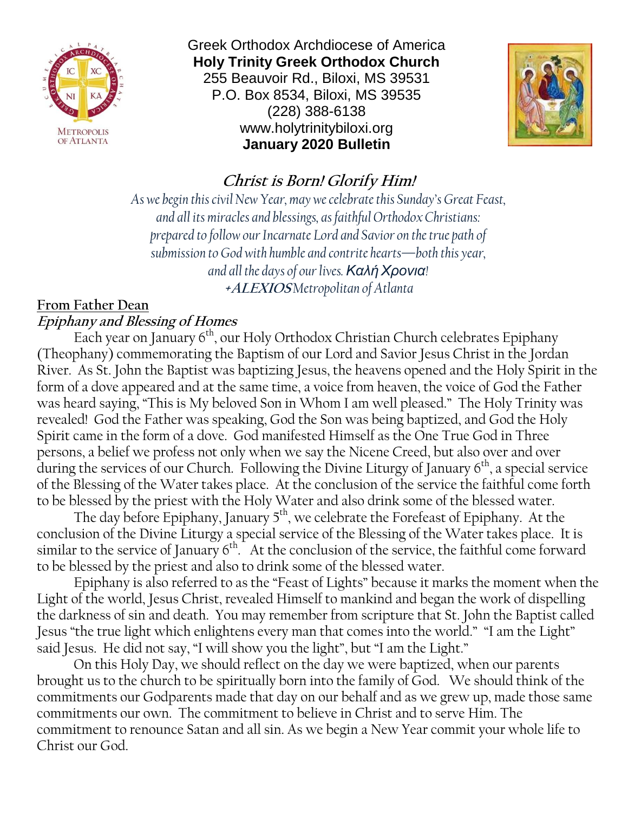

Greek Orthodox Archdiocese of America **Holy Trinity Greek Orthodox Church** 255 Beauvoir Rd., Biloxi, MS 39531 P.O. Box 8534, Biloxi, MS 39535 (228) 388-6138 www.holytrinitybiloxi.org **January 2020 Bulletin**



# **Christ is Born! Glorify Him!**

*As we begin this civil New Year, may we celebrate this Sunday's Great Feast, and all its miracles and blessings, as faithful Orthodox Christians: prepared to follow our Incarnate Lord and Savior on the true path of submission to God with humble and contrite hearts—both this year, and all the days of our lives. ΚαλήΧρονια!* **+ALEXIOS** *Metropolitan of Atlanta*

# **From Father Dean Epiphany and Blessing of Homes**

Each year on January 6<sup>th</sup>, our Holy Orthodox Christian Church celebrates Epiphany (Theophany) commemorating the Baptism of our Lord and Savior Jesus Christ in the Jordan River. As St. John the Baptist was baptizing Jesus, the heavens opened and the Holy Spirit in the form of a dove appeared and at the same time, a voice from heaven, the voice of God the Father was heard saying, "This is My beloved Son in Whom I am well pleased." The Holy Trinity was revealed! God the Father was speaking, God the Son was being baptized, and God the Holy Spirit came in the form of a dove. God manifested Himself as the One True God in Three persons, a belief we profess not only when we say the Nicene Creed, but also over and over during the services of our Church. Following the Divine Liturgy of January  $6<sup>th</sup>$ , a special service of the Blessing of the Water takes place. At the conclusion of the service the faithful come forth to be blessed by the priest with the Holy Water and also drink some of the blessed water.

The day before Epiphany, January 5<sup>th</sup>, we celebrate the Forefeast of Epiphany. At the conclusion of the Divine Liturgy a special service of the Blessing of the Water takes place. It is similar to the service of January 6<sup>th</sup>. At the conclusion of the service, the faithful come forward to be blessed by the priest and also to drink some of the blessed water.

Epiphany is also referred to as the "Feast of Lights" because it marks the moment when the Light of the world, Jesus Christ, revealed Himself to mankind and began the work of dispelling the darkness of sin and death. You may remember from scripture that St. John the Baptist called Jesus "the true light which enlightens every man that comes into the world." "I am the Light" said Jesus. He did not say, "I will show you the light", but "I am the Light."

On this Holy Day, we should reflect on the day we were baptized, when our parents brought us to the church to be spiritually born into the family of God. We should think of the commitments our Godparents made that day on our behalf and as we grew up, made those same commitments our own. The commitment to believe in Christ and to serve Him. The commitment to renounce Satan and all sin. As we begin a New Year commit your whole life to Christ our God.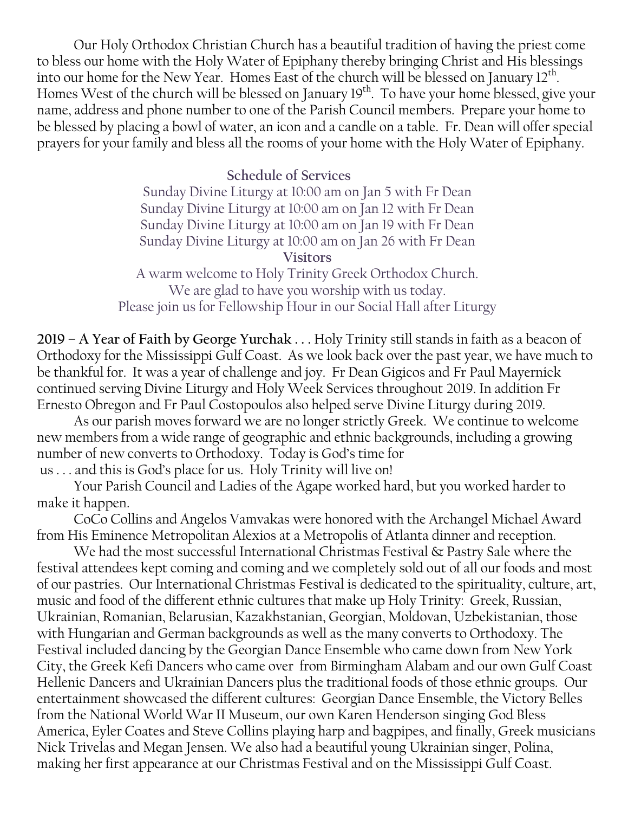Our Holy Orthodox Christian Church has a beautiful tradition of having the priest come to bless our home with the Holy Water of Epiphany thereby bringing Christ and His blessings into our home for the New Year. Homes East of the church will be blessed on January  $12^{th}$ . Homes West of the church will be blessed on January 19<sup>th</sup>. To have your home blessed, give your name, address and phone number to one of the Parish Council members. Prepare your home to be blessed by placing a bowl of water, an icon and a candle on a table. Fr. Dean will offer special prayers for your family and bless all the rooms of your home with the Holy Water of Epiphany.

## **Schedule of Services**

Sunday Divine Liturgy at 10:00 am on Jan 5 with Fr Dean Sunday Divine Liturgy at 10:00 am on Jan 12 with Fr Dean Sunday Divine Liturgy at 10:00 am on Jan 19 with Fr Dean Sunday Divine Liturgy at 10:00 am on Jan 26 with Fr Dean **Visitors**

A warm welcome to Holy Trinity Greek Orthodox Church. We are glad to have you worship with us today. Please join us for Fellowship Hour in our Social Hall after Liturgy

**2019 – A Year of Faith by George Yurchak . . .** Holy Trinity still stands in faith as a beacon of Orthodoxy for the Mississippi Gulf Coast. As we look back over the past year, we have much to be thankful for. It was a year of challenge and joy. Fr Dean Gigicos and Fr Paul Mayernick continued serving Divine Liturgy and Holy Week Services throughout 2019. In addition Fr Ernesto Obregon and Fr Paul Costopoulos also helped serve Divine Liturgy during 2019.

As our parish moves forward we are no longer strictly Greek. We continue to welcome new members from a wide range of geographic and ethnic backgrounds, including a growing number of new converts to Orthodoxy. Today is God's time for us . . . and this is God's place for us. Holy Trinity will live on!

Your Parish Council and Ladies of the Agape worked hard, but you worked harder to make it happen.

CoCo Collins and Angelos Vamvakas were honored with the Archangel Michael Award from His Eminence Metropolitan Alexios at a Metropolis of Atlanta dinner and reception.

We had the most successful International Christmas Festival & Pastry Sale where the festival attendees kept coming and coming and we completely sold out of all our foods and most of our pastries. Our International Christmas Festival is dedicated to the spirituality, culture, art, music and food of the different ethnic cultures that make up Holy Trinity: Greek, Russian, Ukrainian, Romanian, Belarusian, Kazakhstanian, Georgian, Moldovan, Uzbekistanian, those with Hungarian and German backgrounds as well as the many converts to Orthodoxy. The Festival included dancing by the Georgian Dance Ensemble who came down from New York City, the Greek Kefi Dancers who came over from Birmingham Alabam and our own Gulf Coast Hellenic Dancers and Ukrainian Dancers plus the traditional foods of those ethnic groups. Our entertainment showcased the different cultures: Georgian Dance Ensemble, the Victory Belles from the National World War II Museum, our own Karen Henderson singing God Bless America, Eyler Coates and Steve Collins playing harp and bagpipes, and finally, Greek musicians Nick Trivelas and Megan Jensen. We also had a beautiful young Ukrainian singer, Polina, making her first appearance at our Christmas Festival and on the Mississippi Gulf Coast.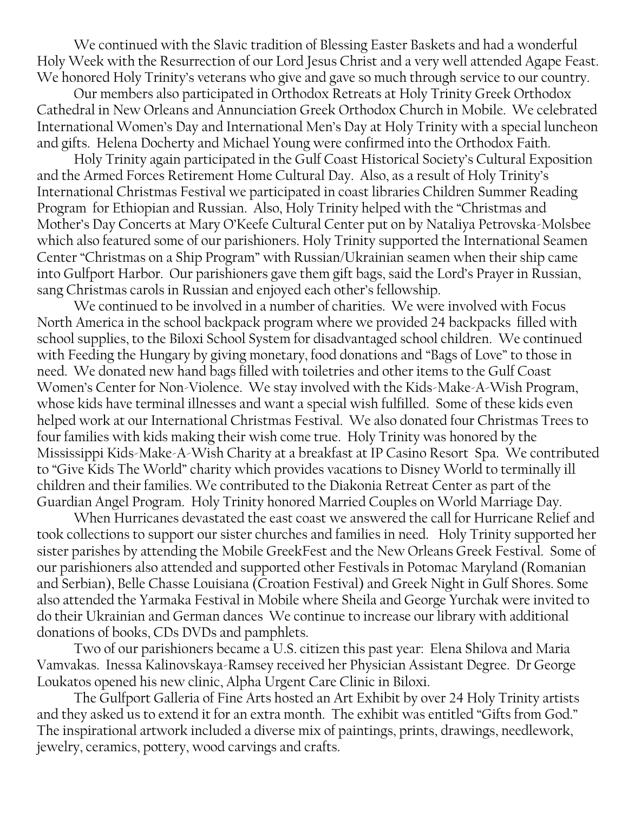We continued with the Slavic tradition of Blessing Easter Baskets and had a wonderful Holy Week with the Resurrection of our Lord Jesus Christ and a very well attended Agape Feast. We honored Holy Trinity's veterans who give and gave so much through service to our country.

Our members also participated in Orthodox Retreats at Holy Trinity Greek Orthodox Cathedral in New Orleans and Annunciation Greek Orthodox Church in Mobile. We celebrated International Women's Day and International Men's Day at Holy Trinity with a special luncheon and gifts. Helena Docherty and Michael Young were confirmed into the Orthodox Faith.

Holy Trinity again participated in the Gulf Coast Historical Society's Cultural Exposition and the Armed Forces Retirement Home Cultural Day. Also, as a result of Holy Trinity's International Christmas Festival we participated in coast libraries Children Summer Reading Program for Ethiopian and Russian. Also, Holy Trinity helped with the "Christmas and Mother's Day Concerts at Mary O'Keefe Cultural Center put on by Nataliya Petrovska-Molsbee which also featured some of our parishioners. Holy Trinity supported the International Seamen Center "Christmas on a Ship Program" with Russian/Ukrainian seamen when their ship came into Gulfport Harbor. Our parishioners gave them gift bags, said the Lord's Prayer in Russian, sang Christmas carols in Russian and enjoyed each other's fellowship.

We continued to be involved in a number of charities. We were involved with Focus North America in the school backpack program where we provided 24 backpacks filled with school supplies, to the Biloxi School System for disadvantaged school children. We continued with Feeding the Hungary by giving monetary, food donations and "Bags of Love" to those in need. We donated new hand bags filled with toiletries and other items to the Gulf Coast Women's Center for Non-Violence. We stay involved with the Kids-Make-A-Wish Program, whose kids have terminal illnesses and want a special wish fulfilled. Some of these kids even helped work at our International Christmas Festival. We also donated four Christmas Trees to four families with kids making their wish come true. Holy Trinity was honored by the Mississippi Kids-Make-A-Wish Charity at a breakfast at IP Casino Resort Spa. We contributed to "Give Kids The World" charity which provides vacations to Disney World to terminally ill children and their families. We contributed to the Diakonia Retreat Center as part of the Guardian Angel Program. Holy Trinity honored Married Couples on World Marriage Day.

When Hurricanes devastated the east coast we answered the call for Hurricane Relief and took collections to support our sister churches and families in need. Holy Trinity supported her sister parishes by attending the Mobile GreekFest and the New Orleans Greek Festival. Some of our parishioners also attended and supported other Festivals in Potomac Maryland (Romanian and Serbian), Belle Chasse Louisiana (Croation Festival) and Greek Night in Gulf Shores. Some also attended the Yarmaka Festival in Mobile where Sheila and George Yurchak were invited to do their Ukrainian and German dances We continue to increase our library with additional donations of books, CDs DVDs and pamphlets.

Two of our parishioners became a U.S. citizen this past year: Elena Shilova and Maria Vamvakas. Inessa Kalinovskaya-Ramsey received her Physician Assistant Degree. Dr George Loukatos opened his new clinic, Alpha Urgent Care Clinic in Biloxi.

The Gulfport Galleria of Fine Arts hosted an Art Exhibit by over 24 Holy Trinity artists and they asked us to extend it for an extra month. The exhibit was entitled "Gifts from God." The inspirational artwork included a diverse mix of paintings, prints, drawings, needlework, jewelry, ceramics, pottery, wood carvings and crafts.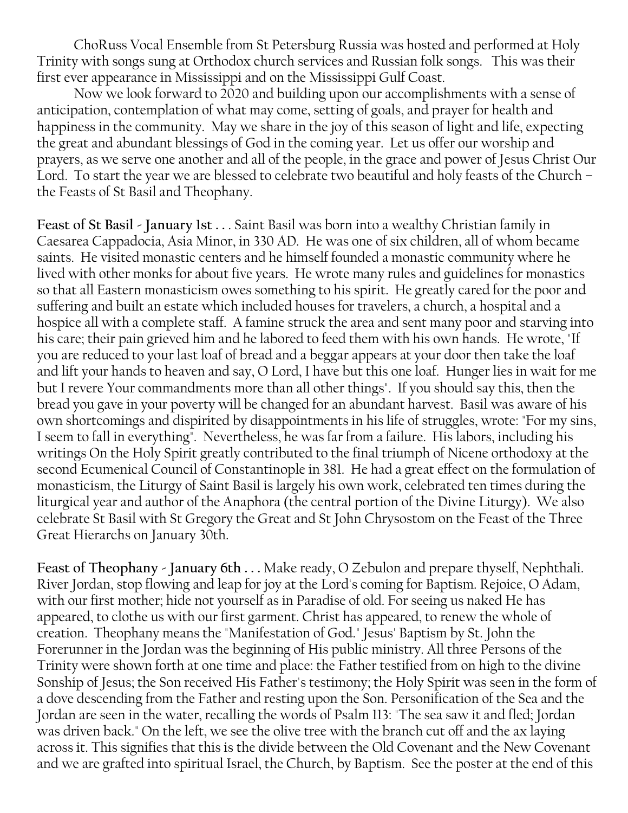ChoRuss Vocal Ensemble from St Petersburg Russia was hosted and performed at Holy Trinity with songs sung at Orthodox church services and Russian folk songs. This was their first ever appearance in Mississippi and on the Mississippi Gulf Coast.

Now we look forward to 2020 and building upon our accomplishments with a sense of anticipation, contemplation of what may come, setting of goals, and prayer for health and happiness in the community. May we share in the joy of this season of light and life, expecting the great and abundant blessings of God in the coming year. Let us offer our worship and prayers, as we serve one another and all of the people, in the grace and power of Jesus Christ Our Lord. To start the year we are blessed to celebrate two beautiful and holy feasts of the Church – the Feasts of St Basil and Theophany.

**Feast of St Basil - January 1st . .** . Saint Basil was born into a wealthy Christian family in Caesarea Cappadocia, Asia Minor, in 330 AD. He was one of six children, all of whom became saints. He visited monastic centers and he himself founded a monastic community where he lived with other monks for about five years. He wrote many rules and guidelines for monastics so that all Eastern monasticism owes something to his spirit. He greatly cared for the poor and suffering and built an estate which included houses for travelers, a church, a hospital and a hospice all with a complete staff. A famine struck the area and sent many poor and starving into his care; their pain grieved him and he labored to feed them with his own hands. He wrote, "If you are reduced to your last loaf of bread and a beggar appears at your door then take the loaf and lift your hands to heaven and say, O Lord, I have but this one loaf. Hunger lies in wait for me but I revere Your commandments more than all other things". If you should say this, then the bread you gave in your poverty will be changed for an abundant harvest. Basil was aware of his own shortcomings and dispirited by disappointments in his life of struggles, wrote: "For my sins, I seem to fall in everything". Nevertheless, he was far from a failure. His labors, including his writings On the Holy Spirit greatly contributed to the final triumph of Nicene orthodoxy at the second Ecumenical Council of Constantinople in 381. He had a great effect on the formulation of monasticism, the Liturgy of Saint Basil is largely his own work, celebrated ten times during the liturgical year and author of the Anaphora (the central portion of the Divine Liturgy). We also celebrate St Basil with St Gregory the Great and St John Chrysostom on the Feast of the Three Great Hierarchs on January 30th.

**Feast of Theophany - January 6th . . .** Make ready, O Zebulon and prepare thyself, Nephthali. River Jordan, stop flowing and leap for joy at the Lord's coming for Baptism. Rejoice, O Adam, with our first mother; hide not yourself as in Paradise of old. For seeing us naked He has appeared, to clothe us with our first garment. Christ has appeared, to renew the whole of creation. Theophany means the "Manifestation of God." Jesus' Baptism by St. John the Forerunner in the Jordan was the beginning of His public ministry. All three Persons of the Trinity were shown forth at one time and place: the Father testified from on high to the divine Sonship of Jesus; the Son received His Father's testimony; the Holy Spirit was seen in the form of a dove descending from the Father and resting upon the Son. Personification of the Sea and the Jordan are seen in the water, recalling the words of Psalm 113: "The sea saw it and fled; Jordan was driven back." On the left, we see the olive tree with the branch cut off and the ax laying across it. This signifies that this is the divide between the Old Covenant and the New Covenant and we are grafted into spiritual Israel, the Church, by Baptism. See the poster at the end of this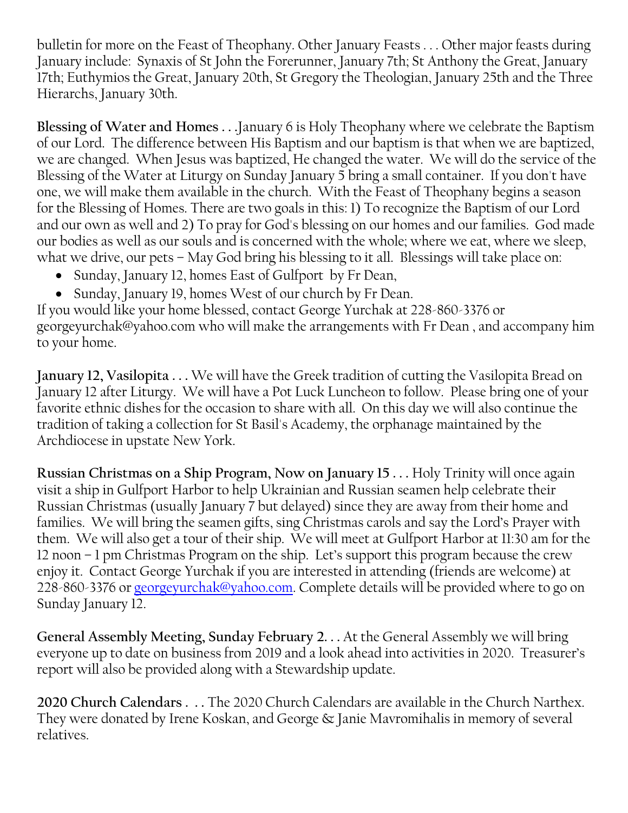bulletin for more on the Feast of Theophany. Other January Feasts . . . Other major feasts during January include: Synaxis of St John the Forerunner, January 7th; St Anthony the Great, January 17th; Euthymios the Great, January 20th, St Gregory the Theologian, January 25th and the Three Hierarchs, January 30th.

**Blessing of Water and Homes . . .**January 6 is Holy Theophany where we celebrate the Baptism of our Lord. The difference between His Baptism and our baptism is that when we are baptized, we are changed. When Jesus was baptized, He changed the water. We will do the service of the Blessing of the Water at Liturgy on Sunday January 5 bring a small container. If you don't have one, we will make them available in the church. With the Feast of Theophany begins a season for the Blessing of Homes. There are two goals in this: 1) To recognize the Baptism of our Lord and our own as well and 2) To pray for God's blessing on our homes and our families. God made our bodies as well as our souls and is concerned with the whole; where we eat, where we sleep, what we drive, our pets – May God bring his blessing to it all. Blessings will take place on:

- Sunday, January 12, homes East of Gulfport by Fr Dean,
- Sunday, January 19, homes West of our church by Fr Dean.

If you would like your home blessed, contact George Yurchak at 228-860-3376 or georgeyurchak@yahoo.com who will make the arrangements with Fr Dean , and accompany him to your home.

**January 12, Vasilopita . . .** We will have the Greek tradition of cutting the Vasilopita Bread on January 12 after Liturgy. We will have a Pot Luck Luncheon to follow. Please bring one of your favorite ethnic dishes for the occasion to share with all. On this day we will also continue the tradition of taking a collection for St Basil's Academy, the orphanage maintained by the Archdiocese in upstate New York.

**Russian Christmas on a Ship Program, Now on January 15 . . .** Holy Trinity will once again visit a ship in Gulfport Harbor to help Ukrainian and Russian seamen help celebrate their Russian Christmas (usually January 7 but delayed) since they are away from their home and families. We will bring the seamen gifts, sing Christmas carols and say the Lord's Prayer with them. We will also get a tour of their ship. We will meet at Gulfport Harbor at 11:30 am for the 12 noon – 1 pm Christmas Program on the ship. Let's support this program because the crew enjoy it. Contact George Yurchak if you are interested in attending (friends are welcome) at 228-860-3376 or [georgeyurchak@yahoo.com.](mailto:georgeyurchak@yahoo.com) Complete details will be provided where to go on Sunday January 12.

**General Assembly Meeting, Sunday February 2. . .** At the General Assembly we will bring everyone up to date on business from 2019 and a look ahead into activities in 2020. Treasurer's report will also be provided along with a Stewardship update.

**2020 Church Calendars . . .** The 2020 Church Calendars are available in the Church Narthex. They were donated by Irene Koskan, and George & Janie Mavromihalis in memory of several relatives.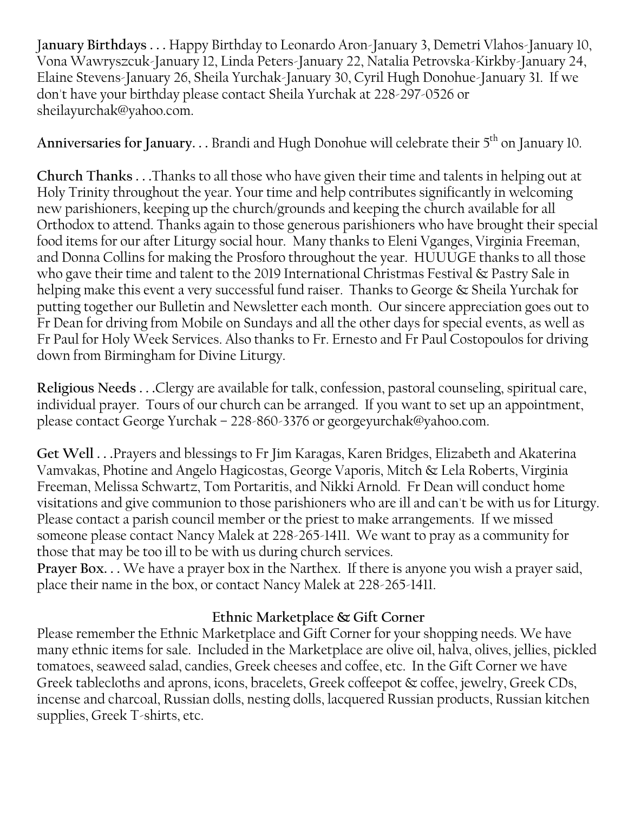J**anuary Birthdays . . .** Happy Birthday to Leonardo Aron-January 3, Demetri Vlahos-January 10, Vona Wawryszcuk-January 12, Linda Peters-January 22, Natalia Petrovska-Kirkby-January 24, Elaine Stevens-January 26, Sheila Yurchak-January 30, Cyril Hugh Donohue-January 31. If we don't have your birthday please contact Sheila Yurchak at 228-297-0526 or sheilayurchak@yahoo.com.

Anniversaries for January. . . Brandi and Hugh Donohue will celebrate their 5<sup>th</sup> on January 10.

**Church Thanks . . .**Thanks to all those who have given their time and talents in helping out at Holy Trinity throughout the year. Your time and help contributes significantly in welcoming new parishioners, keeping up the church/grounds and keeping the church available for all Orthodox to attend. Thanks again to those generous parishioners who have brought their special food items for our after Liturgy social hour. Many thanks to Eleni Vganges, Virginia Freeman, and Donna Collins for making the Prosforo throughout the year. HUUUGE thanks to all those who gave their time and talent to the 2019 International Christmas Festival & Pastry Sale in helping make this event a very successful fund raiser. Thanks to George & Sheila Yurchak for putting together our Bulletin and Newsletter each month. Our sincere appreciation goes out to Fr Dean for driving from Mobile on Sundays and all the other days for special events, as well as Fr Paul for Holy Week Services. Also thanks to Fr. Ernesto and Fr Paul Costopoulos for driving down from Birmingham for Divine Liturgy.

**Religious Needs . . .**Clergy are available for talk, confession, pastoral counseling, spiritual care, individual prayer. Tours of our church can be arranged. If you want to set up an appointment, please contact George Yurchak – 228-860-3376 or georgeyurchak@yahoo.com.

**Get Well . . .**Prayers and blessings to Fr Jim Karagas, Karen Bridges, Elizabeth and Akaterina Vamvakas, Photine and Angelo Hagicostas, George Vaporis, Mitch & Lela Roberts, Virginia Freeman, Melissa Schwartz, Tom Portaritis, and Nikki Arnold. Fr Dean will conduct home visitations and give communion to those parishioners who are ill and can't be with us for Liturgy. Please contact a parish council member or the priest to make arrangements. If we missed someone please contact Nancy Malek at 228-265-1411. We want to pray as a community for those that may be too ill to be with us during church services.

**Prayer Box. . .** We have a prayer box in the Narthex. If there is anyone you wish a prayer said, place their name in the box, or contact Nancy Malek at 228-265-1411.

# **Ethnic Marketplace & Gift Corner**

Please remember the Ethnic Marketplace and Gift Corner for your shopping needs. We have many ethnic items for sale. Included in the Marketplace are olive oil, halva, olives, jellies, pickled tomatoes, seaweed salad, candies, Greek cheeses and coffee, etc. In the Gift Corner we have Greek tablecloths and aprons, icons, bracelets, Greek coffeepot & coffee, jewelry, Greek CDs, incense and charcoal, Russian dolls, nesting dolls, lacquered Russian products, Russian kitchen supplies, Greek T-shirts, etc.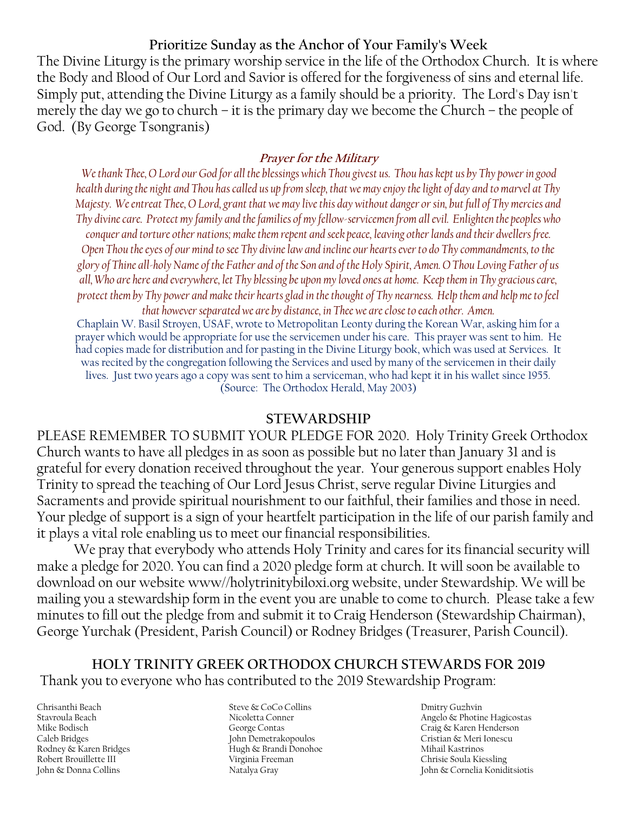### **Prioritize Sunday as the Anchor of Your Family's Week**

The Divine Liturgy is the primary worship service in the life of the Orthodox Church. It is where the Body and Blood of Our Lord and Savior is offered for the forgiveness of sins and eternal life. Simply put, attending the Divine Liturgy as a family should be a priority. The Lord's Day isn't merely the day we go to church – it is the primary day we become the Church – the people of God. (By George Tsongranis)

### **Prayer for the Military**

*We thank Thee, O Lord our God for all the blessings which Thou givest us. Thou has kept us by Thy power in good health during the night and Thou has called us up from sleep, that we may enjoy the light of day and to marvel at Thy Majesty. We entreat Thee, O Lord, grant that we may live this day without danger or sin, but full of Thy mercies and Thy divine care. Protect my family and the families of my fellow-servicemen from all evil. Enlighten the peoples who* 

*conquer and torture other nations; make them repent and seek peace, leaving other lands and their dwellers free. Open Thou the eyes of our mind to see Thy divine law and incline our hearts ever to do Thy commandments, to the glory of Thine all-holy Name of the Father and of the Son and of the Holy Spirit, Amen. O Thou Loving Father of us all, Who are here and everywhere, let Thy blessing be upon my loved ones at home. Keep them in Thy gracious care, protect them by Thy power and make their hearts glad in the thought of Thy nearness. Help them and help me to feel* 

*that however separated we are by distance, in Thee we are close to each other. Amen.* Chaplain W. Basil Stroyen, USAF, wrote to Metropolitan Leonty during the Korean War, asking him for a prayer which would be appropriate for use the servicemen under his care. This prayer was sent to him. He had copies made for distribution and for pasting in the Divine Liturgy book, which was used at Services. It was recited by the congregation following the Services and used by many of the servicemen in their daily lives. Just two years ago a copy was sent to him a serviceman, who had kept it in his wallet since 1955. (Source: The Orthodox Herald, May 2003)

### **STEWARDSHIP**

PLEASE REMEMBER TO SUBMIT YOUR PLEDGE FOR 2020. Holy Trinity Greek Orthodox Church wants to have all pledges in as soon as possible but no later than January 31 and is grateful for every donation received throughout the year. Your generous support enables Holy Trinity to spread the teaching of Our Lord Jesus Christ, serve regular Divine Liturgies and Sacraments and provide spiritual nourishment to our faithful, their families and those in need. Your pledge of support is a sign of your heartfelt participation in the life of our parish family and it plays a vital role enabling us to meet our financial responsibilities.

We pray that everybody who attends Holy Trinity and cares for its financial security will make a pledge for 2020. You can find a 2020 pledge form at church. It will soon be available to download on our website www//holytrinitybiloxi.org website, under Stewardship. We will be mailing you a stewardship form in the event you are unable to come to church. Please take a few minutes to fill out the pledge from and submit it to Craig Henderson (Stewardship Chairman), George Yurchak (President, Parish Council) or Rodney Bridges (Treasurer, Parish Council).

## **HOLY TRINITY GREEK ORTHODOX CHURCH STEWARDS FOR 2019** Thank you to everyone who has contributed to the 2019 Stewardship Program:

Chrisanthi Beach Stavroula Beach Mike Bodisch Caleb Bridges Rodney & Karen Bridges Robert Brouillette III John & Donna Collins

Steve & CoCo Collins Nicoletta Conner George Contas John Demetrakopoulos Hugh & Brandi Donohoe Virginia Freeman Natalya Gray

Dmitry Guzhvin Angelo & Photine Hagicostas Craig & Karen Henderson Cristian & Meri Ionescu Mihail Kastrinos Chrisie Soula Kiessling John & Cornelia Koniditsiotis